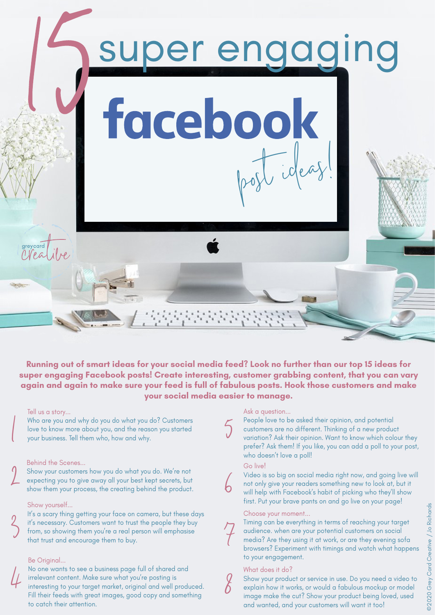

**Running out of smart ideas for your social media feed? Look no further than our top 15 ideas for super engaging Facebook posts! Create interesting, customer grabbing content, that you can vary again and again to make sure your feed is full of fabulous posts. Hook those customers and make your social media easier to manage.**

5

6

## Tell us a story...

 $\bigg($ 

2

 $\textdegree$ 

4

Who are you and why do you do what you do? Customers love to know more about you, and the reason you started your business. Tell them who, how and why.

# Behind the Scenes...

Show your customers how you do what you do. We're not expecting you to give away all your best kept secrets, but show them your process, the creating behind the product.

#### Show yourself...

It's a scary thing getting your face on camera, but these days it's necessary. Customers want to trust the people they buy from, so showing them you're a real person will emphasise that trust and encourage them to buy.

# Be Original...

No one wants to see a business page full of shared and irrelevant content. Make sure what you're posting is interesting to your target market, original and well produced. Fill their feeds with great images, good copy and something to catch their attention.

#### Ask a question...

People love to be asked their opinion, and potential customers are no different. Thinking of a new product variation? Ask their opinion. Want to know which colour they prefer? Ask them! If you like, you can add a poll to your post, who doesn't love a poll!

# Go live!

Video is so big on social media right now, and going live will not only give your readers something new to look at, but it will help with Facebook's habit of picking who they'll show first. Put your brave pants on and go live on your page!

#### Choose your moment...

7

8

Timing can be everything in terms of reaching your target audience. when are your potential customers on social media? Are they using it at work, or are they evening sofa browsers? Experiment with timings and watch what happens to your engagement.

# What does it do?

Show your product or service in use. Do you need a video to explain how it works, or would a fabulous mockup or model image make the cut? Show your product being loved, used and wanted, and your customers will want it too!